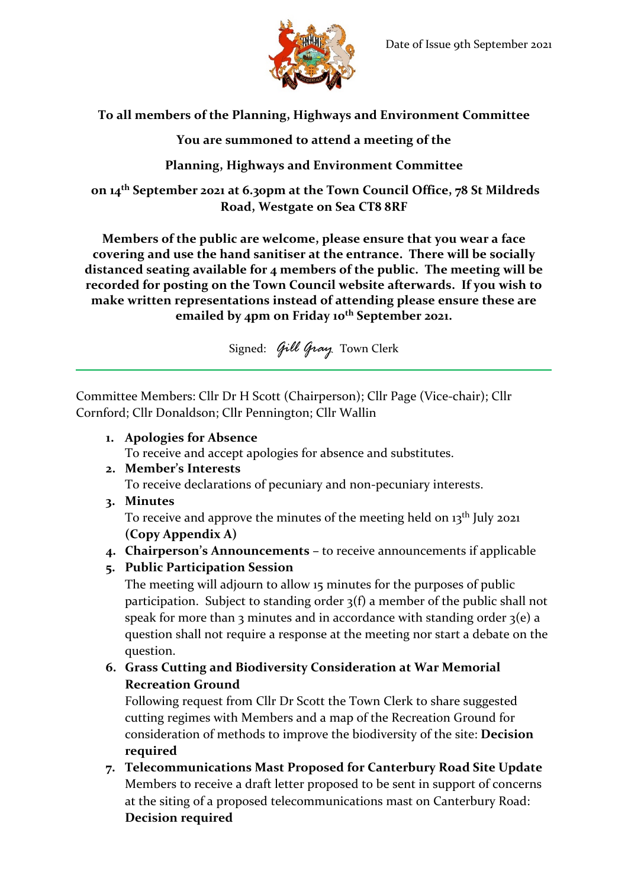

# **To all members of the Planning, Highways and Environment Committee**

# **You are summoned to attend a meeting of the**

# **Planning, Highways and Environment Committee**

**on 14th September 2021 at 6.30pm at the Town Council Office, 78 St Mildreds Road, Westgate on Sea CT8 8RF**

**Members of the public are welcome, please ensure that you wear a face covering and use the hand sanitiser at the entrance. There will be socially distanced seating available for 4 members of the public. The meeting will be recorded for posting on the Town Council website afterwards. If you wish to make written representations instead of attending please ensure these are emailed by 4pm on Friday 10th September 2021.**

Signed: *Gill Gray* Town Clerk

Committee Members: Cllr Dr H Scott (Chairperson); Cllr Page (Vice-chair); Cllr Cornford; Cllr Donaldson; Cllr Pennington; Cllr Wallin

**1. Apologies for Absence**

To receive and accept apologies for absence and substitutes.

**2. Member's Interests**

To receive declarations of pecuniary and non-pecuniary interests.

**3. Minutes**

To receive and approve the minutes of the meeting held on 13<sup>th</sup> July 2021 **(Copy Appendix A)**

- **4. Chairperson's Announcements –** to receive announcements if applicable
- **5. Public Participation Session**

The meeting will adjourn to allow 15 minutes for the purposes of public participation. Subject to standing order 3(f) a member of the public shall not speak for more than 3 minutes and in accordance with standing order  $3(e)$  a question shall not require a response at the meeting nor start a debate on the question.

**6. Grass Cutting and Biodiversity Consideration at War Memorial Recreation Ground**

Following request from Cllr Dr Scott the Town Clerk to share suggested cutting regimes with Members and a map of the Recreation Ground for consideration of methods to improve the biodiversity of the site: **Decision required**

**7. Telecommunications Mast Proposed for Canterbury Road Site Update** Members to receive a draft letter proposed to be sent in support of concerns at the siting of a proposed telecommunications mast on Canterbury Road: **Decision required**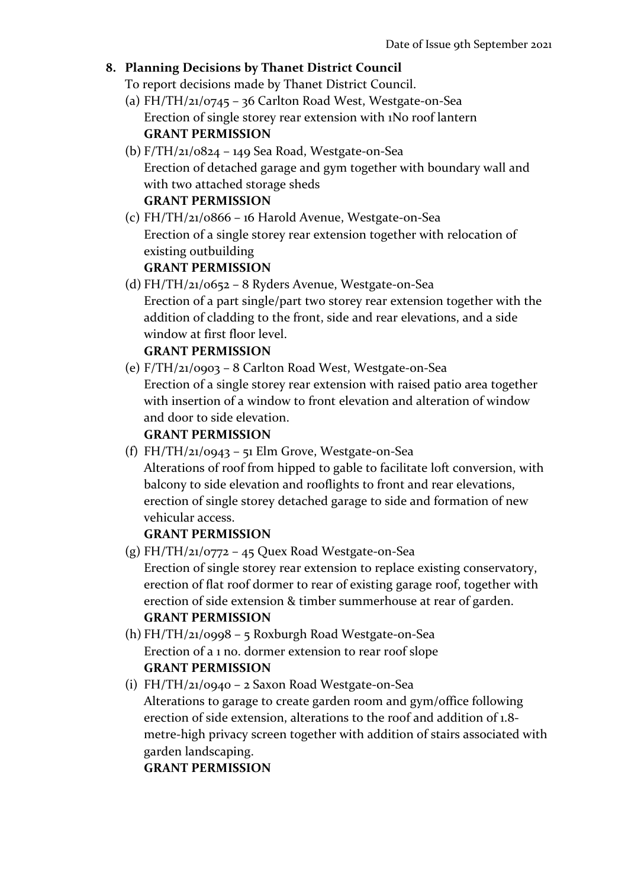## **8. Planning Decisions by Thanet District Council**

To report decisions made by Thanet District Council.

- (a) FH/TH/21/0745 36 Carlton Road West, Westgate-on-Sea Erection of single storey rear extension with 1No roof lantern **GRANT PERMISSION**
- (b)  $F/TH/21/0824 149$  Sea Road, Westgate-on-Sea Erection of detached garage and gym together with boundary wall and with two attached storage sheds **GRANT PERMISSION**
- (c) FH/TH/21/0866 16 Harold Avenue, Westgate-on-Sea Erection of a single storey rear extension together with relocation of existing outbuilding **GRANT PERMISSION**
- (d) FH/TH/21/0652 8 Ryders Avenue, Westgate-on-Sea Erection of a part single/part two storey rear extension together with the addition of cladding to the front, side and rear elevations, and a side window at first floor level. **GRANT PERMISSION**
- (e) F/TH/21/0903 8 Carlton Road West, Westgate-on-Sea Erection of a single storey rear extension with raised patio area together with insertion of a window to front elevation and alteration of window and door to side elevation.

#### **GRANT PERMISSION**

(f) FH/TH/21/0943 – 51 Elm Grove, Westgate-on-Sea Alterations of roof from hipped to gable to facilitate loft conversion, with balcony to side elevation and rooflights to front and rear elevations, erection of single storey detached garage to side and formation of new vehicular access.

#### **GRANT PERMISSION**

- (g) FH/TH/21/0772 45 Quex Road Westgate-on-Sea Erection of single storey rear extension to replace existing conservatory, erection of flat roof dormer to rear of existing garage roof, together with erection of side extension & timber summerhouse at rear of garden. **GRANT PERMISSION**
- (h) FH/TH/21/0998 5 Roxburgh Road Westgate-on-Sea Erection of a 1 no. dormer extension to rear roof slope **GRANT PERMISSION**
- (i) FH/TH/21/0940 2 Saxon Road Westgate-on-Sea Alterations to garage to create garden room and gym/office following erection of side extension, alterations to the roof and addition of 1.8 metre-high privacy screen together with addition of stairs associated with garden landscaping.

**GRANT PERMISSION**